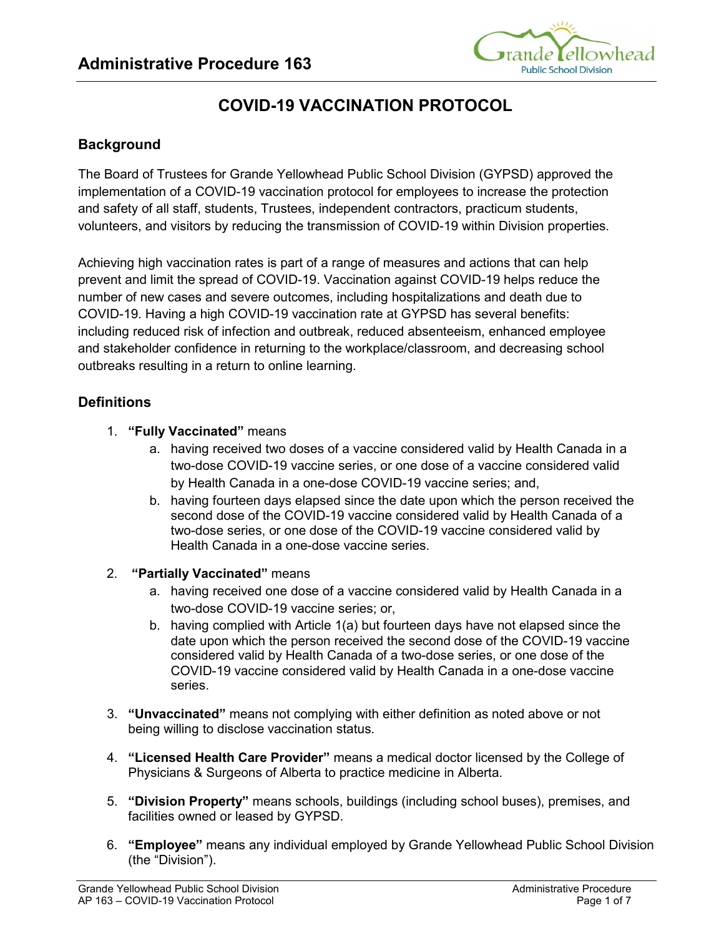

# **COVID-19 VACCINATION PROTOCOL**

## **Background**

The Board of Trustees for Grande Yellowhead Public School Division (GYPSD) approved the implementation of a COVID-19 vaccination protocol for employees to increase the protection and safety of all staff, students, Trustees, independent contractors, practicum students, volunteers, and visitors by reducing the transmission of COVID-19 within Division properties.

Achieving high vaccination rates is part of a range of measures and actions that can help prevent and limit the spread of COVID-19. Vaccination against COVID-19 helps reduce the number of new cases and severe outcomes, including hospitalizations and death due to COVID-19. Having a high COVID-19 vaccination rate at GYPSD has several benefits: including reduced risk of infection and outbreak, reduced absenteeism, enhanced employee and stakeholder confidence in returning to the workplace/classroom, and decreasing school outbreaks resulting in a return to online learning.

## **Definitions**

- 1. **"Fully Vaccinated"** means
	- a. having received two doses of a vaccine considered valid by Health Canada in a two-dose COVID-19 vaccine series, or one dose of a vaccine considered valid by Health Canada in a one-dose COVID-19 vaccine series; and,
	- b. having fourteen days elapsed since the date upon which the person received the second dose of the COVID-19 vaccine considered valid by Health Canada of a two-dose series, or one dose of the COVID-19 vaccine considered valid by Health Canada in a one-dose vaccine series.
- 2. **"Partially Vaccinated"** means
	- a. having received one dose of a vaccine considered valid by Health Canada in a two-dose COVID-19 vaccine series; or,
	- b. having complied with Article 1(a) but fourteen days have not elapsed since the date upon which the person received the second dose of the COVID-19 vaccine considered valid by Health Canada of a two-dose series, or one dose of the COVID-19 vaccine considered valid by Health Canada in a one-dose vaccine series.
- 3. **"Unvaccinated"** means not complying with either definition as noted above or not being willing to disclose vaccination status.
- 4. **"Licensed Health Care Provider"** means a medical doctor licensed by the College of Physicians & Surgeons of Alberta to practice medicine in Alberta.
- 5. **"Division Property"** means schools, buildings (including school buses), premises, and facilities owned or leased by GYPSD.
- 6. **"Employee"** means any individual employed by Grande Yellowhead Public School Division (the "Division").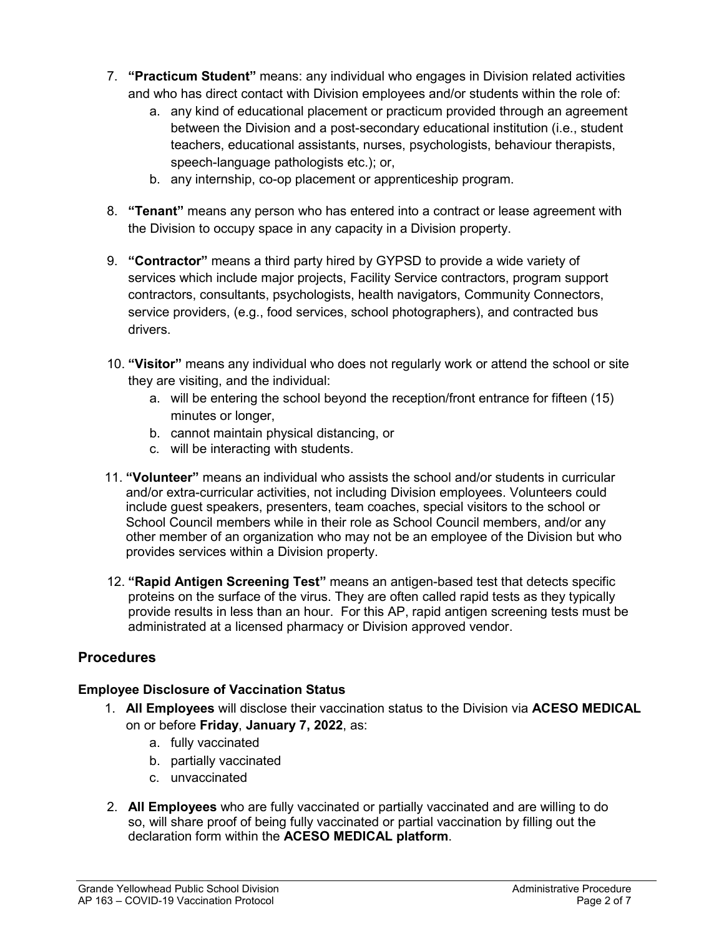- 7. **"Practicum Student"** means: any individual who engages in Division related activities and who has direct contact with Division employees and/or students within the role of:
	- a. any kind of educational placement or practicum provided through an agreement between the Division and a post-secondary educational institution (i.e., student teachers, educational assistants, nurses, psychologists, behaviour therapists, speech-language pathologists etc.); or,
	- b. any internship, co-op placement or apprenticeship program.
- 8. **"Tenant"** means any person who has entered into a contract or lease agreement with the Division to occupy space in any capacity in a Division property.
- 9. **"Contractor"** means a third party hired by GYPSD to provide a wide variety of services which include major projects, Facility Service contractors, program support contractors, consultants, psychologists, health navigators, Community Connectors, service providers, (e.g., food services, school photographers), and contracted bus drivers.
- 10. **"Visitor"** means any individual who does not regularly work or attend the school or site they are visiting, and the individual:
	- a. will be entering the school beyond the reception/front entrance for fifteen (15) minutes or longer,
	- b. cannot maintain physical distancing, or
	- c. will be interacting with students.
- 11. **"Volunteer"** means an individual who assists the school and/or students in curricular and/or extra-curricular activities, not including Division employees. Volunteers could include guest speakers, presenters, team coaches, special visitors to the school or School Council members while in their role as School Council members, and/or any other member of an organization who may not be an employee of the Division but who provides services within a Division property.
- 12. **"Rapid Antigen Screening Test"** means an antigen-based test that detects specific proteins on the surface of the virus. They are often called rapid tests as they typically provide results in less than an hour. For this AP, rapid antigen screening tests must be administrated at a licensed pharmacy or Division approved vendor.

## **Procedures**

## **Employee Disclosure of Vaccination Status**

- 1. **All Employees** will disclose their vaccination status to the Division via **ACESO MEDICAL** on or before **Friday**, **January 7, 2022**, as:
	- a. fully vaccinated
	- b. partially vaccinated
	- c. unvaccinated
- 2. **All Employees** who are fully vaccinated or partially vaccinated and are willing to do so, will share proof of being fully vaccinated or partial vaccination by filling out the declaration form within the **ACESO MEDICAL platform**.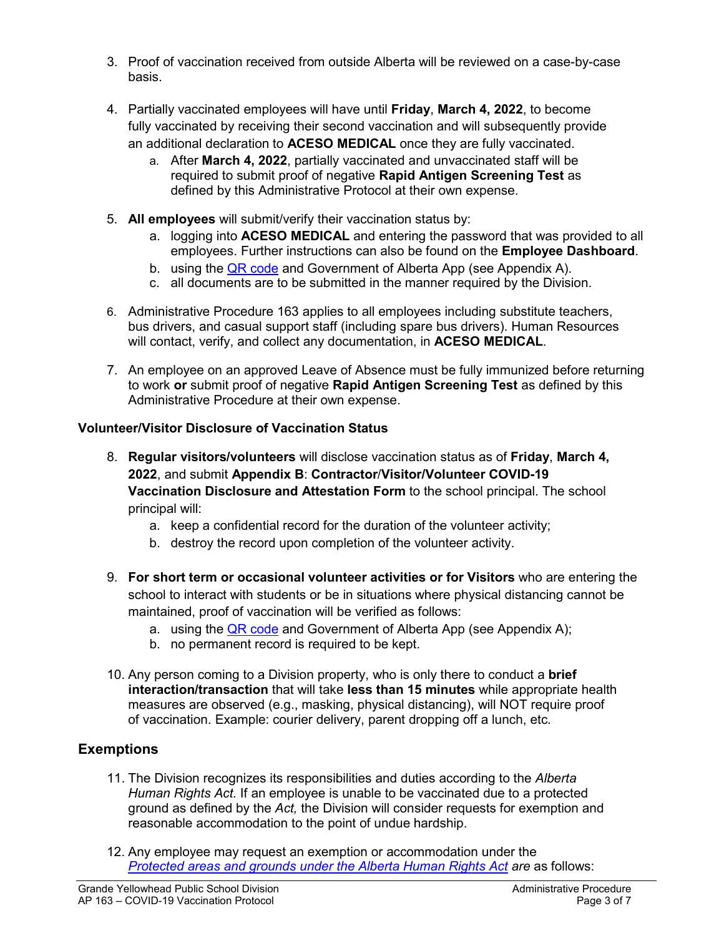- 3. Proof of vaccination received from outside Alberta will be reviewed on a case-by-case basis.
- 4. Partially vaccinated employees will have until **Friday**, **March 4, 2022**, to become fully vaccinated by receiving their second vaccination and will subsequently provide an additional declaration to **ACESO MEDICAL** once they are fully vaccinated.
	- a. After **March 4, 2022**, partially vaccinated and unvaccinated staff will be required to submit proof of negative **Rapid Antigen Screening Test** as defined by this Administrative Protocol at their own expense.
- 5. **All employees** will submit/verify their vaccination status by:
	- a. logging into **ACESO MEDICAL** and entering the password that was provided to all employees. Further instructions can also be found on the **Employee Dashboard**.
	- b. using the [QR code](https://covidrecords.alberta.ca/home) and Government of Alberta App (see Appendix A).
	- c. all documents are to be submitted in the manner required by the Division.
- 6. Administrative Procedure 163 applies to all employees including substitute teachers, bus drivers, and casual support staff (including spare bus drivers). Human Resources will contact, verify, and collect any documentation, in **ACESO MEDICAL**.
- 7. An employee on an approved Leave of Absence must be fully immunized before returning to work **or** submit proof of negative **Rapid Antigen Screening Test** as defined by this Administrative Procedure at their own expense.

## **Volunteer/Visitor Disclosure of Vaccination Status**

- 8. **Regular visitors/volunteers** will disclose vaccination status as of **Friday**, **March 4, 2022**, and submit **Appendix B**: **Contractor**/**Visitor/Volunteer COVID-19 Vaccination Disclosure and Attestation Form** to the school principal. The school principal will:
	- a. keep a confidential record for the duration of the volunteer activity;
	- b. destroy the record upon completion of the volunteer activity.
- 9. **For short term or occasional volunteer activities or for Visitors** who are entering the school to interact with students or be in situations where physical distancing cannot be maintained, proof of vaccination will be verified as follows:
	- a. using the [QR code](https://covidrecords.alberta.ca/home) and Government of Alberta App (see Appendix A);
	- b. no permanent record is required to be kept.
- 10. Any person coming to a Division property, who is only there to conduct a **brief interaction/transaction** that will take **less than 15 minutes** while appropriate health measures are observed (e.g., masking, physical distancing), will NOT require proof of vaccination. Example: courier delivery, parent dropping off a lunch, etc.

## **Exemptions**

- 11. The Division recognizes its responsibilities and duties according to the *Alberta Human Rights Act.* If an employee is unable to be vaccinated due to a protected ground as defined by the *Act,* the Division will consider requests for exemption and reasonable accommodation to the point of undue hardship.
- 12. Any employee may request an exemption or accommodation under the *[Protected areas and grounds under the Alberta Human Rights Act](https://albertahumanrights.ab.ca/Documents/ProtAreasGrounds.pdf) are* as follows: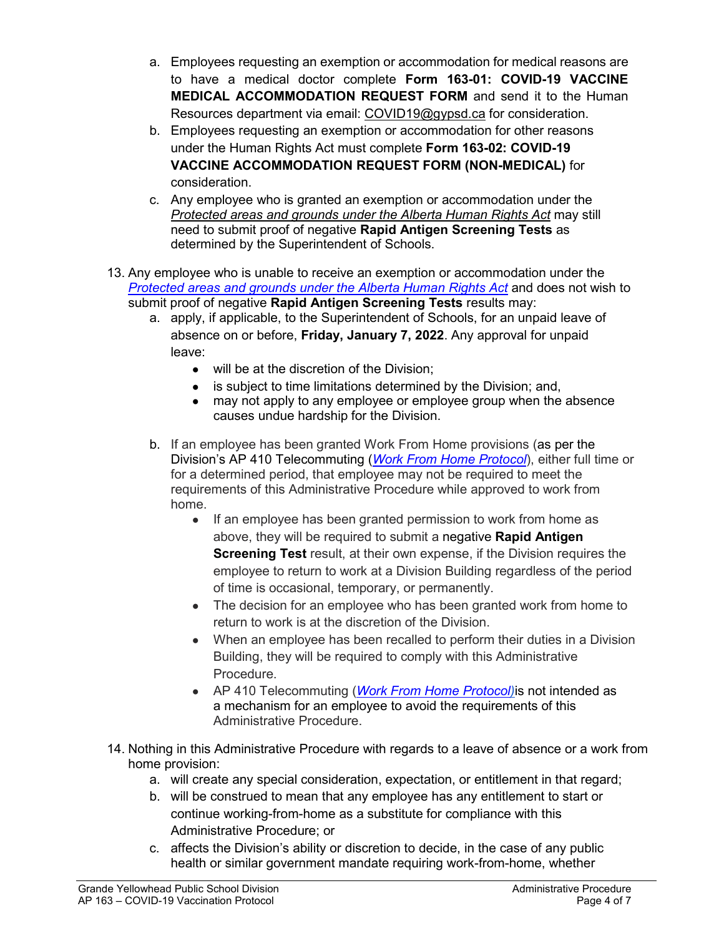- a. Employees requesting an exemption or accommodation for medical reasons are to have a medical doctor complete **Form 163-01: COVID-19 VACCINE MEDICAL ACCOMMODATION REQUEST FORM** and send it to the Human Resources department via email: [COVID19@gypsd.ca](mailto:COVID19@gypsd.ca) for consideration.
- b. Employees requesting an exemption or accommodation for other reasons under the Human Rights Act must complete **Form 163-02: COVID-19 VACCINE ACCOMMODATION REQUEST FORM (NON-MEDICAL)** for consideration.
- c. Any employee who is granted an exemption or accommodation under the *[Protected areas and grounds under the Alberta Human Rights Act](about:blank)* may still need to submit proof of negative **Rapid Antigen Screening Tests** as determined by the Superintendent of Schools.
- 13. Any employee who is unable to receive an exemption or accommodation under the *[Protected areas and grounds under the Alberta Human Rights Act](https://albertahumanrights.ab.ca/Documents/ProtAreasGrounds.pdf)* and does not wish to submit proof of negative **Rapid Antigen Screening Tests** results may:
	- a. apply, if applicable, to the Superintendent of Schools, for an unpaid leave of absence on or before, **Friday, January 7, 2022**. Any approval for unpaid leave:
		- will be at the discretion of the Division;
		- is subject to time limitations determined by the Division; and,
		- may not apply to any employee or employee group when the absence causes undue hardship for the Division.
	- b. If an employee has been granted Work From Home provisions (as per the Division's AP 410 Telecommuting (*[Work From Home Protocol](https://gypsd.ca/download/299563)*), either full time or for a determined period, that employee may not be required to meet the requirements of this Administrative Procedure while approved to work from home.
		- If an employee has been granted permission to work from home as above, they will be required to submit a negative **Rapid Antigen Screening Test** result, at their own expense, if the Division requires the employee to return to work at a Division Building regardless of the period of time is occasional, temporary, or permanently.
		- The decision for an employee who has been granted work from home to return to work is at the discretion of the Division.
		- When an employee has been recalled to perform their duties in a Division Building, they will be required to comply with this Administrative **Procedure**
		- AP 410 Telecommuting (*[Work From Home Protocol\)](https://gypsd.ca/download/299563)*is not intended as a mechanism for an employee to avoid the requirements of this Administrative Procedure.
- 14. Nothing in this Administrative Procedure with regards to a leave of absence or a work from home provision:
	- a. will create any special consideration, expectation, or entitlement in that regard;
	- b. will be construed to mean that any employee has any entitlement to start or continue working-from-home as a substitute for compliance with this Administrative Procedure; or
	- c. affects the Division's ability or discretion to decide, in the case of any public health or similar government mandate requiring work-from-home, whether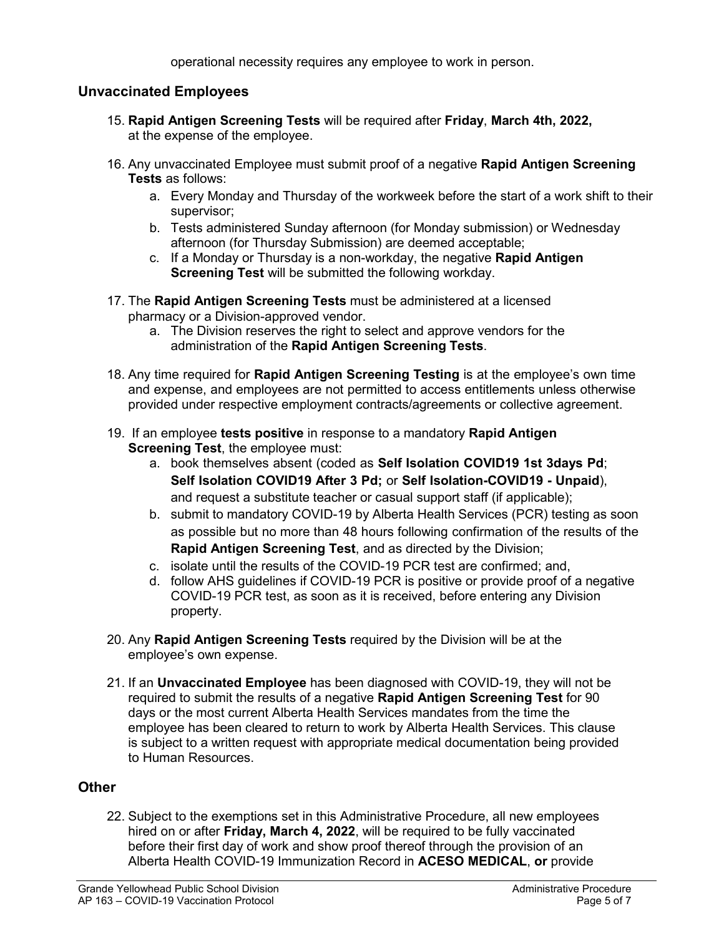operational necessity requires any employee to work in person.

## **Unvaccinated Employees**

- 15. **Rapid Antigen Screening Tests** will be required after **Friday**, **March 4th, 2022,** at the expense of the employee.
- 16. Any unvaccinated Employee must submit proof of a negative **Rapid Antigen Screening Tests** as follows:
	- a. Every Monday and Thursday of the workweek before the start of a work shift to their supervisor;
	- b. Tests administered Sunday afternoon (for Monday submission) or Wednesday afternoon (for Thursday Submission) are deemed acceptable;
	- c. If a Monday or Thursday is a non-workday, the negative **Rapid Antigen Screening Test** will be submitted the following workday.
- 17. The **Rapid Antigen Screening Tests** must be administered at a licensed pharmacy or a Division-approved vendor.
	- a. The Division reserves the right to select and approve vendors for the administration of the **Rapid Antigen Screening Tests**.
- 18. Any time required for **Rapid Antigen Screening Testing** is at the employee's own time and expense, and employees are not permitted to access entitlements unless otherwise provided under respective employment contracts/agreements or collective agreement.
- 19. If an employee **tests positive** in response to a mandatory **Rapid Antigen Screening Test**, the employee must:
	- a. book themselves absent (coded as **Self Isolation COVID19 1st 3days Pd**; **Self Isolation COVID19 After 3 Pd;** or **Self Isolation-COVID19 - Unpaid**), and request a substitute teacher or casual support staff (if applicable);
	- b. submit to mandatory COVID-19 by Alberta Health Services (PCR) testing as soon as possible but no more than 48 hours following confirmation of the results of the **Rapid Antigen Screening Test**, and as directed by the Division;
	- c. isolate until the results of the COVID-19 PCR test are confirmed; and,
	- d. follow AHS guidelines if COVID-19 PCR is positive or provide proof of a negative COVID-19 PCR test, as soon as it is received, before entering any Division property.
- 20. Any **Rapid Antigen Screening Tests** required by the Division will be at the employee's own expense.
- 21. If an **Unvaccinated Employee** has been diagnosed with COVID-19, they will not be required to submit the results of a negative **Rapid Antigen Screening Test** for 90 days or the most current Alberta Health Services mandates from the time the employee has been cleared to return to work by Alberta Health Services. This clause is subject to a written request with appropriate medical documentation being provided to Human Resources.

#### **Other**

22. Subject to the exemptions set in this Administrative Procedure, all new employees hired on or after **Friday, March 4, 2022**, will be required to be fully vaccinated before their first day of work and show proof thereof through the provision of an Alberta Health COVID-19 Immunization Record in **ACESO MEDICAL**, **or** provide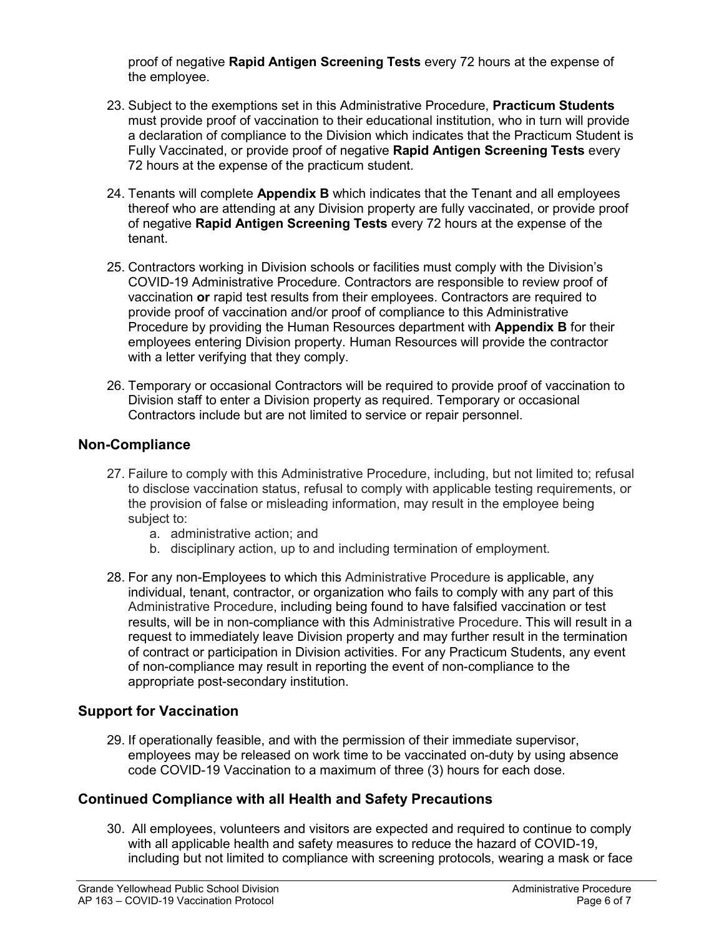proof of negative **Rapid Antigen Screening Tests** every 72 hours at the expense of the employee.

- 23. Subject to the exemptions set in this Administrative Procedure, **Practicum Students** must provide proof of vaccination to their educational institution, who in turn will provide a declaration of compliance to the Division which indicates that the Practicum Student is Fully Vaccinated, or provide proof of negative **Rapid Antigen Screening Tests** every 72 hours at the expense of the practicum student.
- 24. Tenants will complete **Appendix B** which indicates that the Tenant and all employees thereof who are attending at any Division property are fully vaccinated, or provide proof of negative **Rapid Antigen Screening Tests** every 72 hours at the expense of the tenant.
- 25. Contractors working in Division schools or facilities must comply with the Division's COVID-19 Administrative Procedure. Contractors are responsible to review proof of vaccination **or** rapid test results from their employees. Contractors are required to provide proof of vaccination and/or proof of compliance to this Administrative Procedure by providing the Human Resources department with **Appendix B** for their employees entering Division property. Human Resources will provide the contractor with a letter verifying that they comply.
- 26. Temporary or occasional Contractors will be required to provide proof of vaccination to Division staff to enter a Division property as required. Temporary or occasional Contractors include but are not limited to service or repair personnel.

## **Non-Compliance**

- 27. Failure to comply with this Administrative Procedure, including, but not limited to; refusal to disclose vaccination status, refusal to comply with applicable testing requirements, or the provision of false or misleading information, may result in the employee being subject to:
	- a. administrative action; and
	- b. disciplinary action, up to and including termination of employment.
- 28. For any non-Employees to which this Administrative Procedure is applicable, any individual, tenant, contractor, or organization who fails to comply with any part of this Administrative Procedure, including being found to have falsified vaccination or test results, will be in non-compliance with this Administrative Procedure. This will result in a request to immediately leave Division property and may further result in the termination of contract or participation in Division activities. For any Practicum Students, any event of non-compliance may result in reporting the event of non-compliance to the appropriate post-secondary institution.

## **Support for Vaccination**

29. If operationally feasible, and with the permission of their immediate supervisor, employees may be released on work time to be vaccinated on-duty by using absence code COVID-19 Vaccination to a maximum of three (3) hours for each dose.

## **Continued Compliance with all Health and Safety Precautions**

30. All employees, volunteers and visitors are expected and required to continue to comply with all applicable health and safety measures to reduce the hazard of COVID-19, including but not limited to compliance with screening protocols, wearing a mask or face